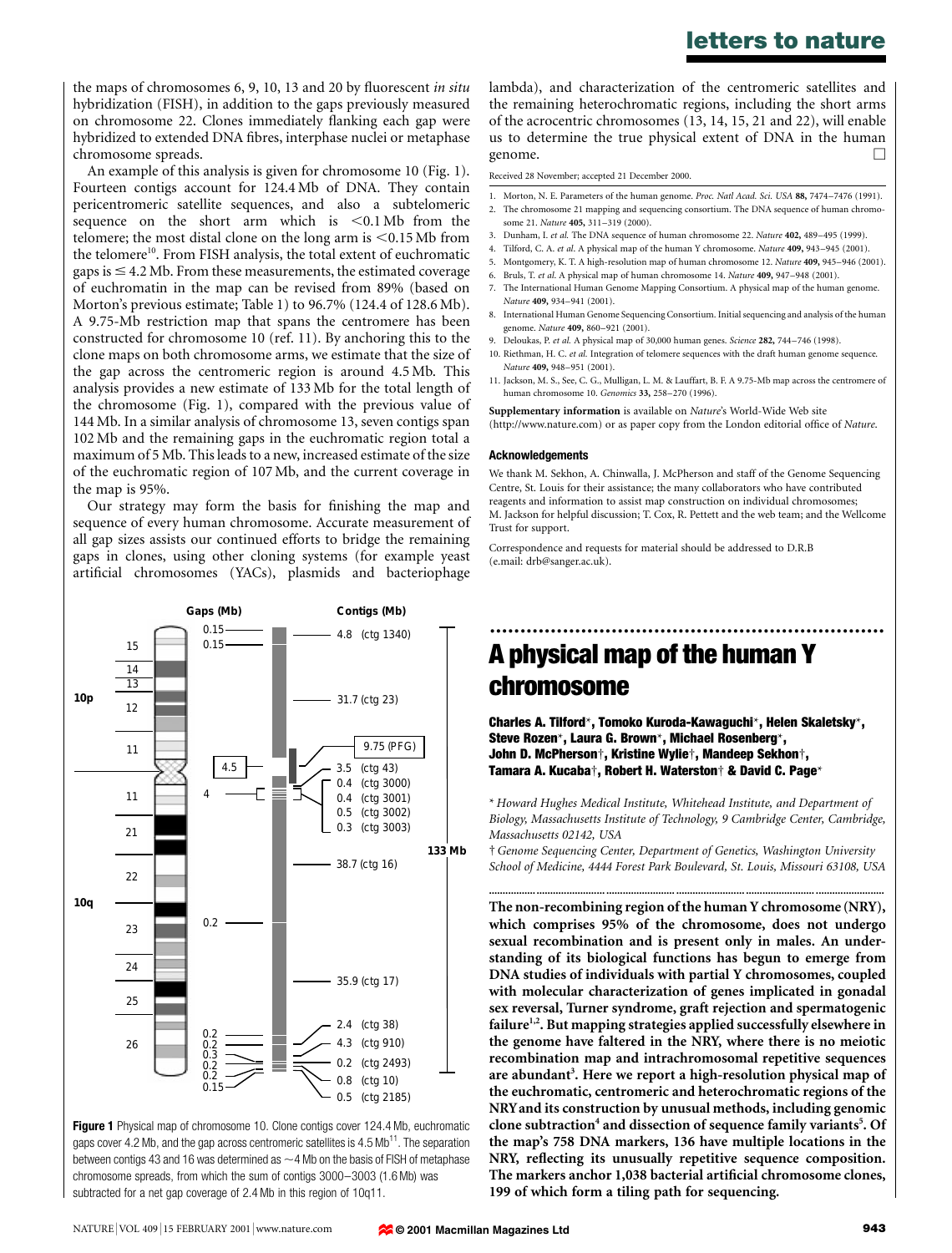## **letters to nature**

the maps of chromosomes 6, 9, 10, 13 and 20 by fluorescent *in situ* hybridization (FISH), in addition to the gaps previously measured on chromosome 22. Clones immediately flanking each gap were hybridized to extended DNA fibres, interphase nuclei or metaphase chromosome spreads.

An example of this analysis is given for chromosome 10 (Fig. 1). Fourteen contigs account for 124.4 Mb of DNA. They contain pericentromeric satellite sequences, and also a subtelomeric sequence on the short arm which is  $\leq 0.1 \text{ Mb}$  from the telomere; the most distal clone on the long arm is  $\leq 0.15$  Mb from the telomere<sup>10</sup>. From FISH analysis, the total extent of euchromatic gaps is  $\leq$  4.2 Mb. From these measurements, the estimated coverage of euchromatin in the map can be revised from 89% (based on Morton's previous estimate; Table 1) to 96.7% (124.4 of 128.6 Mb). A 9.75-Mb restriction map that spans the centromere has been constructed for chromosome 10 (ref. 11). By anchoring this to the clone maps on both chromosome arms, we estimate that the size of the gap across the centromeric region is around 4.5 Mb. This analysis provides a new estimate of 133 Mb for the total length of the chromosome (Fig. 1), compared with the previous value of 144 Mb. In a similar analysis of chromosome 13, seven contigs span 102 Mb and the remaining gaps in the euchromatic region total a maximum of 5 Mb. This leads to a new, increased estimate of the size of the euchromatic region of 107 Mb, and the current coverage in the map is 95%.

Our strategy may form the basis for finishing the map and sequence of every human chromosome. Accurate measurement of all gap sizes assists our continued efforts to bridge the remaining gaps in clones, using other cloning systems (for example yeast artificial chromosomes (YACs), plasmids and bacteriophage



**Figure 1** Physical map of chromosome 10. Clone contigs cover 124.4 Mb, euchromatic gaps cover 4.2 Mb, and the gap across centromeric satellites is  $4.5 \text{ Mb}^{11}$ . The separation between contigs 43 and 16 was determined as  $\sim$  4 Mb on the basis of FISH of metaphase chromosome spreads, from which the sum of contigs 3000–3003 (1.6 Mb) was subtracted for a net gap coverage of 2.4 Mb in this region of 10q11.

lambda), and characterization of the centromeric satellites and the remaining heterochromatic regions, including the short arms of the acrocentric chromosomes (13, 14, 15, 21 and 22), will enable us to determine the true physical extent of DNA in the human genome.  $\Box$ 

Received 28 November; accepted 21 December 2000.

1. Morton, N. E. Parameters of the human genome. *Proc. Natl Acad. Sci. USA* **88,** 7474–7476 (1991).

- 2. The chromosome 21 mapping and sequencing consortium. The DNA sequence of human chromosome 21. *Nature* **405,** 311–319 (2000).
- 3. Dunham, I. *et al.* The DNA sequence of human chromosome 22. *Nature* **402,** 489–495 (1999).
- 4. Tilford, C. A. *et al*. A physical map of the human Y chromosome. *Nature* **409,** 943–945 (2001).
- 5. Montgomery, K. T. A high-resolution map of human chromosome 12. *Nature* **409,** 945–946 (2001).
- 6. Bruls, T. *et al*. A physical map of human chromosome 14. *Nature* **409,** 947–948 (2001).
- 7. The International Human Genome Mapping Consortium. A physical map of the human genome. *Nature* **409,** 934–941 (2001).
- 8. International Human Genome Sequencing Consortium. Initial sequencing and analysis of the human genome. *Nature* **409,** 860–921 (2001).
- 9. Deloukas, P. *et al.* A physical map of 30,000 human genes. *Science* **282,** 744–746 (1998). 10. Riethman, H. C. *et al.* Integration of telomere sequences with the draft human genome sequence. *Nature* **409,** 948–951 (2001).
- 11. Jackson, M. S., See, C. G., Mulligan, L. M. & Lauffart, B. F. A 9.75-Mb map across the centromere of human chromosome 10. *Genomics* **33,** 258–270 (1996).

**Supplementary information** is available on *Nature*'s World-Wide Web site (http://www.nature.com) or as paper copy from the London editorial office of *Nature*.

### **Acknowledgements**

We thank M. Sekhon, A. Chinwalla, J. McPherson and staff of the Genome Sequencing Centre, St. Louis for their assistance; the many collaborators who have contributed reagents and information to assist map construction on individual chromosomes; M. Jackson for helpful discussion; T. Cox, R. Pettett and the web team; and the Wellcome Trust for support.

Correspondence and requests for material should be addressed to D.R.B (e.mail: drb@sanger.ac.uk).

# ................................................................. **A physical map of the human Y chromosome**

**Charles A. Tilford**\***, Tomoko Kuroda-Kawaguchi**\***, Helen Skaletsky**\***, Steve Rozen**\***, Laura G. Brown**\***, Michael Rosenberg**\***, John D. McPherson**†**, Kristine Wylie**†**, Mandeep Sekhon**†**, Tamara A. Kucaba**†**, Robert H. Waterston**† **& David C. Page**\*

\* *Howard Hughes Medical Institute, Whitehead Institute, and Department of Biology, Massachusetts Institute of Technology, 9 Cambridge Center, Cambridge, Massachusetts 02142, USA*

†*Genome Sequencing Center, Department of Genetics, Washington University School of Medicine, 4444 Forest Park Boulevard, St. Louis, Missouri 63108, USA* **.......................................... ......................... ......................... ......................... .........................**

**The non-recombining region of the human Y chromosome (NRY), which comprises 95% of the chromosome, does not undergo sexual recombination and is present only in males. An understanding of its biological functions has begun to emerge from DNA studies of individuals with partial Y chromosomes, coupled with molecular characterization of genes implicated in gonadal sex reversal, Turner syndrome, graft rejection and spermatogenic failure1,2. But mapping strategies applied successfully elsewhere in the genome have faltered in the NRY, where there is no meiotic recombination map and intrachromosomal repetitive sequences are abundant3 . Here we report a high-resolution physical map of the euchromatic, centromeric and heterochromatic regions of the NRYand its construction by unusual methods, including genomic** clone subtraction<sup>4</sup> and dissection of sequence family variants<sup>5</sup>. Of **the map's 758 DNA markers, 136 have multiple locations in the NRY, reflecting its unusually repetitive sequence composition. The markers anchor 1,038 bacterial artificial chromosome clones, 199 of which form a tiling path for sequencing.**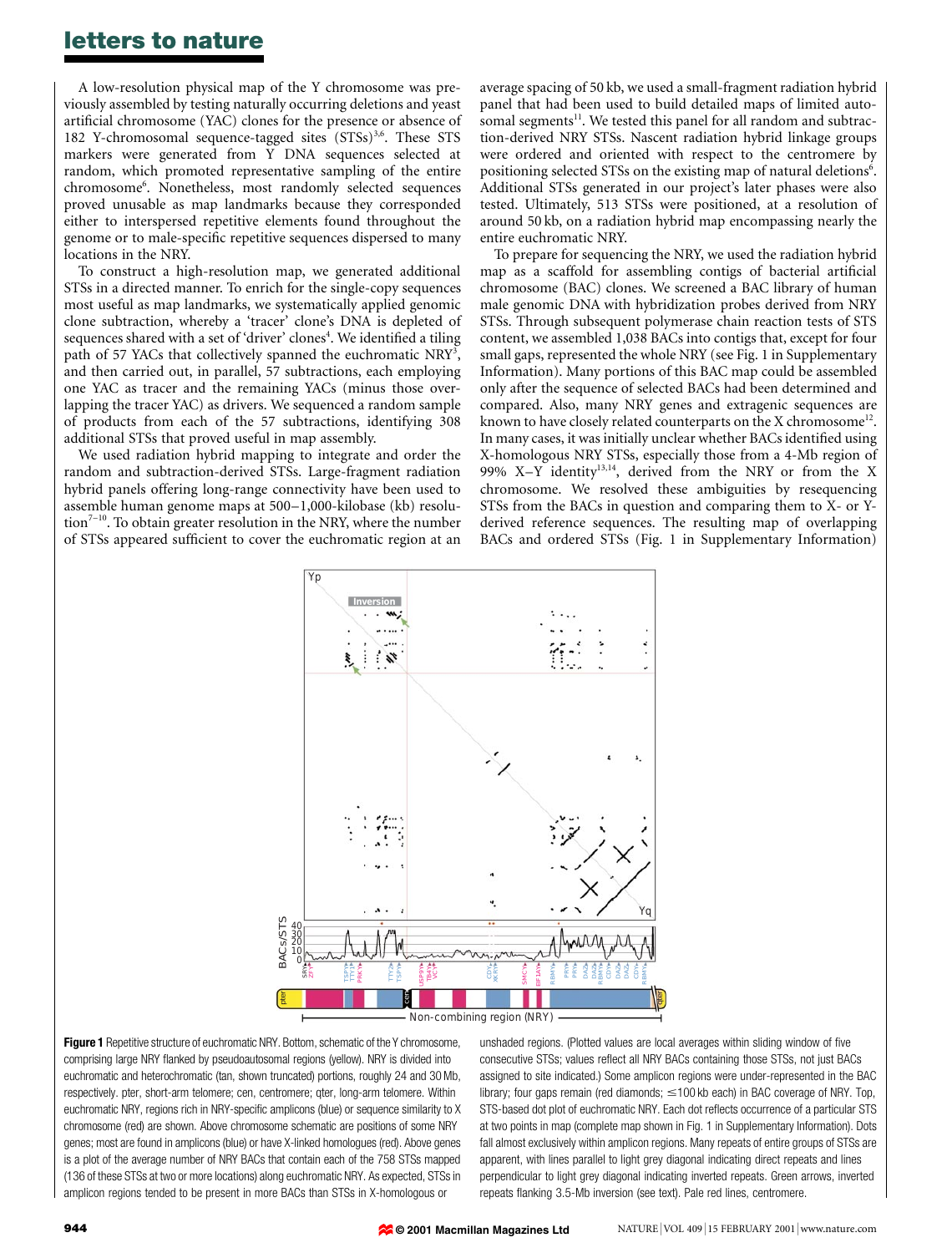### **letters to nature**

A low-resolution physical map of the Y chromosome was previously assembled by testing naturally occurring deletions and yeast artificial chromosome (YAC) clones for the presence or absence of 182 Y-chromosomal sequence-tagged sites  $(STSs)$ <sup>3,6</sup>. These STS markers were generated from Y DNA sequences selected at random, which promoted representative sampling of the entire chromosome6 . Nonetheless, most randomly selected sequences proved unusable as map landmarks because they corresponded either to interspersed repetitive elements found throughout the genome or to male-specific repetitive sequences dispersed to many locations in the NRY.

To construct a high-resolution map, we generated additional STSs in a directed manner. To enrich for the single-copy sequences most useful as map landmarks, we systematically applied genomic clone subtraction, whereby a 'tracer' clone's DNA is depleted of sequences shared with a set of 'driver' clones<sup>4</sup>. We identified a tiling path of 57 YACs that collectively spanned the euchromatic NRY<sup>3</sup>, and then carried out, in parallel, 57 subtractions, each employing one YAC as tracer and the remaining YACs (minus those overlapping the tracer YAC) as drivers. We sequenced a random sample of products from each of the 57 subtractions, identifying 308 additional STSs that proved useful in map assembly.

We used radiation hybrid mapping to integrate and order the random and subtraction-derived STSs. Large-fragment radiation hybrid panels offering long-range connectivity have been used to assemble human genome maps at 500–1,000-kilobase (kb) resolu- $\arctan^{7-10}$ . To obtain greater resolution in the NRY, where the number of STSs appeared sufficient to cover the euchromatic region at an average spacing of 50 kb, we used a small-fragment radiation hybrid panel that had been used to build detailed maps of limited autosomal segments<sup>11</sup>. We tested this panel for all random and subtraction-derived NRY STSs. Nascent radiation hybrid linkage groups were ordered and oriented with respect to the centromere by positioning selected STSs on the existing map of natural deletions<sup>6</sup>. Additional STSs generated in our project's later phases were also tested. Ultimately, 513 STSs were positioned, at a resolution of around 50 kb, on a radiation hybrid map encompassing nearly the entire euchromatic NRY.

To prepare for sequencing the NRY, we used the radiation hybrid map as a scaffold for assembling contigs of bacterial artificial chromosome (BAC) clones. We screened a BAC library of human male genomic DNA with hybridization probes derived from NRY STSs. Through subsequent polymerase chain reaction tests of STS content, we assembled 1,038 BACs into contigs that, except for four small gaps, represented the whole NRY (see Fig. 1 in Supplementary Information). Many portions of this BAC map could be assembled only after the sequence of selected BACs had been determined and compared. Also, many NRY genes and extragenic sequences are known to have closely related counterparts on the X chromosome<sup>12</sup>. In many cases, it was initially unclear whether BACs identified using X-homologous NRY STSs, especially those from a 4-Mb region of 99% X-Y identity<sup>13,14</sup>, derived from the NRY or from the X chromosome. We resolved these ambiguities by resequencing STSs from the BACs in question and comparing them to X- or Yderived reference sequences. The resulting map of overlapping BACs and ordered STSs (Fig. 1 in Supplementary Information)



Non-combining region (NRY)

**Figure 1** Repetitive structure of euchromatic NRY. Bottom, schematic of the Y chromosome, comprising large NRY flanked by pseudoautosomal regions (yellow). NRY is divided into euchromatic and heterochromatic (tan, shown truncated) portions, roughly 24 and 30 Mb, respectively. pter, short-arm telomere; cen, centromere; qter, long-arm telomere. Within euchromatic NRY, regions rich in NRY-specific amplicons (blue) or sequence similarity to X chromosome (red) are shown. Above chromosome schematic are positions of some NRY genes; most are found in amplicons (blue) or have X-linked homologues (red). Above genes is a plot of the average number of NRY BACs that contain each of the 758 STSs mapped (136 of these STSs at two or more locations) along euchromatic NRY. As expected, STSs in amplicon regions tended to be present in more BACs than STSs in X-homologous or

unshaded regions. (Plotted values are local averages within sliding window of five consecutive STSs; values reflect all NRY BACs containing those STSs, not just BACs assigned to site indicated.) Some amplicon regions were under-represented in the BAC library; four gaps remain (red diamonds;  $\leq$ 100 kb each) in BAC coverage of NRY. Top, STS-based dot plot of euchromatic NRY. Each dot reflects occurrence of a particular STS at two points in map (complete map shown in Fig. 1 in Supplementary Information). Dots fall almost exclusively within amplicon regions. Many repeats of entire groups of STSs are apparent, with lines parallel to light grey diagonal indicating direct repeats and lines perpendicular to light grey diagonal indicating inverted repeats. Green arrows, inverted repeats flanking 3.5-Mb inversion (see text). Pale red lines, centromere.